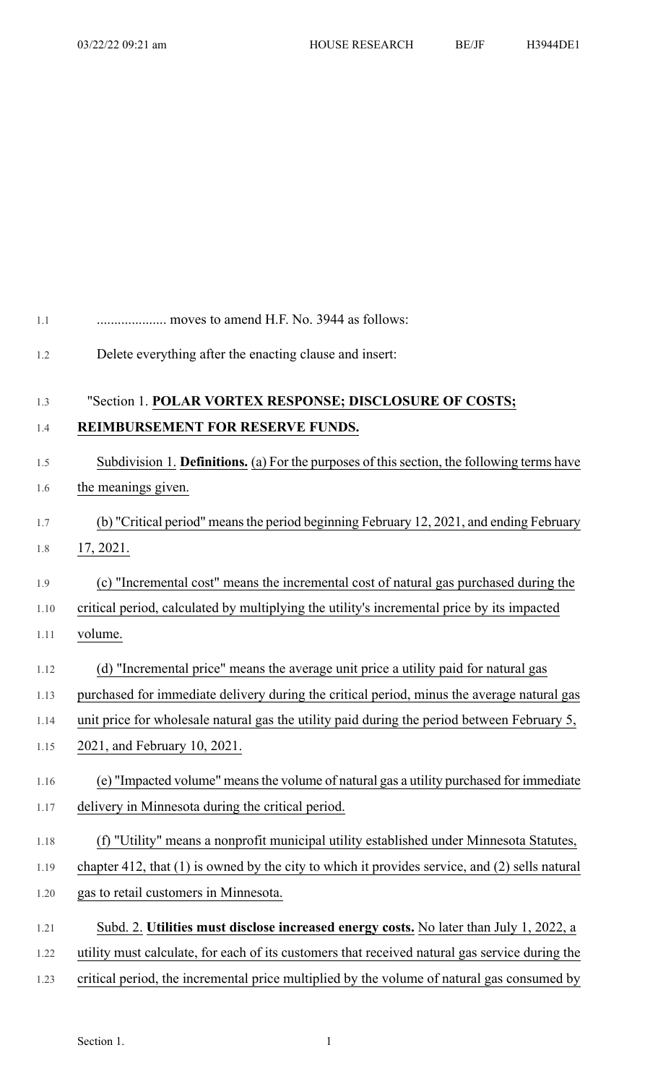| 1.1  | moves to amend H.F. No. 3944 as follows:                                                           |
|------|----------------------------------------------------------------------------------------------------|
| 1.2  | Delete everything after the enacting clause and insert:                                            |
| 1.3  | "Section 1. POLAR VORTEX RESPONSE; DISCLOSURE OF COSTS;                                            |
| 1.4  | REIMBURSEMENT FOR RESERVE FUNDS.                                                                   |
| 1.5  | Subdivision 1. Definitions. (a) For the purposes of this section, the following terms have         |
| 1.6  | the meanings given.                                                                                |
| 1.7  | (b) "Critical period" means the period beginning February 12, 2021, and ending February            |
| 1.8  | 17, 2021.                                                                                          |
| 1.9  | (c) "Incremental cost" means the incremental cost of natural gas purchased during the              |
| 1.10 | critical period, calculated by multiplying the utility's incremental price by its impacted         |
| 1.11 | volume.                                                                                            |
| 1.12 | (d) "Incremental price" means the average unit price a utility paid for natural gas                |
| 1.13 | purchased for immediate delivery during the critical period, minus the average natural gas         |
| 1.14 | unit price for wholesale natural gas the utility paid during the period between February 5,        |
| 1.15 | 2021, and February 10, 2021.                                                                       |
| 1.16 | (e) "Impacted volume" means the volume of natural gas a utility purchased for immediate            |
| 1.17 | delivery in Minnesota during the critical period.                                                  |
| 1.18 | (f) "Utility" means a nonprofit municipal utility established under Minnesota Statutes,            |
| 1.19 | chapter 412, that $(1)$ is owned by the city to which it provides service, and $(2)$ sells natural |
| 1.20 | gas to retail customers in Minnesota.                                                              |
| 1.21 | Subd. 2. Utilities must disclose increased energy costs. No later than July 1, 2022, a             |
| 1.22 | utility must calculate, for each of its customers that received natural gas service during the     |
| 1.23 | critical period, the incremental price multiplied by the volume of natural gas consumed by         |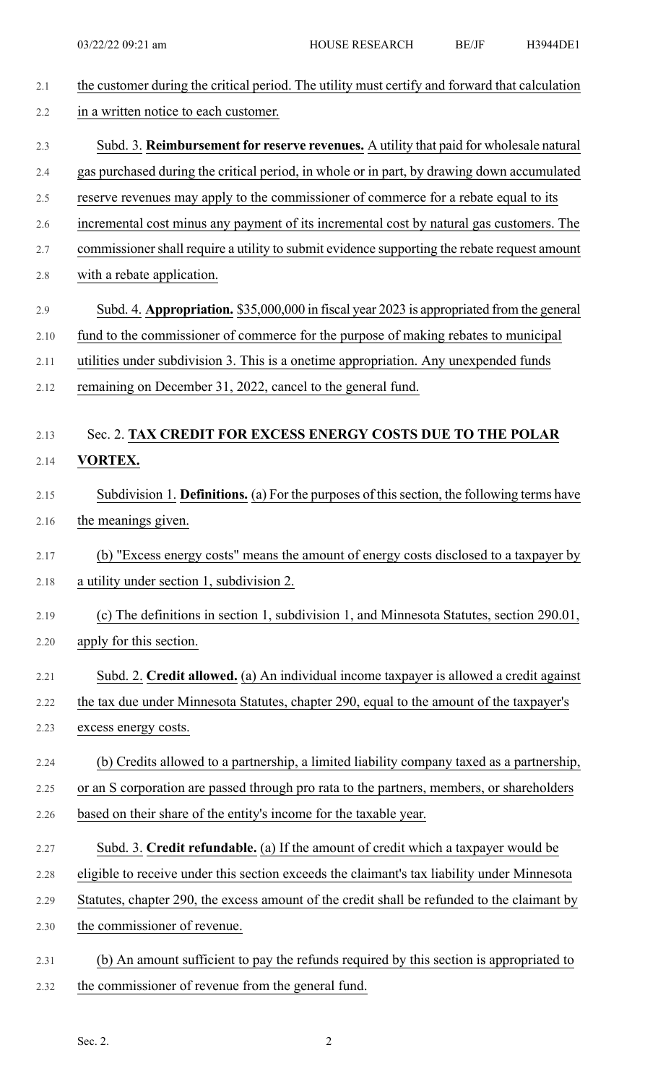| the customer during the critical period. The utility must certify and forward that calculation |
|------------------------------------------------------------------------------------------------|
| in a written notice to each customer.                                                          |
| Subd. 3. Reimbursement for reserve revenues. A utility that paid for wholesale natural         |
| gas purchased during the critical period, in whole or in part, by drawing down accumulated     |
| reserve revenues may apply to the commissioner of commerce for a rebate equal to its           |
| incremental cost minus any payment of its incremental cost by natural gas customers. The       |
| commissioner shall require a utility to submit evidence supporting the rebate request amount   |
| with a rebate application.                                                                     |
| Subd. 4. Appropriation. \$35,000,000 in fiscal year 2023 is appropriated from the general      |
| fund to the commissioner of commerce for the purpose of making rebates to municipal            |
| utilities under subdivision 3. This is a onetime appropriation. Any unexpended funds           |
| remaining on December 31, 2022, cancel to the general fund.                                    |
| Sec. 2. TAX CREDIT FOR EXCESS ENERGY COSTS DUE TO THE POLAR                                    |
| <b>VORTEX.</b>                                                                                 |
| Subdivision 1. Definitions. (a) For the purposes of this section, the following terms have     |
| the meanings given.                                                                            |
| (b) "Excess energy costs" means the amount of energy costs disclosed to a taxpayer by          |
| a utility under section 1, subdivision 2.                                                      |
| (c) The definitions in section 1, subdivision 1, and Minnesota Statutes, section 290.01,       |
| apply for this section.                                                                        |
| Subd. 2. Credit allowed. (a) An individual income taxpayer is allowed a credit against         |
| the tax due under Minnesota Statutes, chapter 290, equal to the amount of the taxpayer's       |
| excess energy costs.                                                                           |
| (b) Credits allowed to a partnership, a limited liability company taxed as a partnership,      |
| or an S corporation are passed through pro rata to the partners, members, or shareholders      |
| based on their share of the entity's income for the taxable year.                              |
| Subd. 3. Credit refundable. (a) If the amount of credit which a taxpayer would be              |
| eligible to receive under this section exceeds the claimant's tax liability under Minnesota    |
| Statutes, chapter 290, the excess amount of the credit shall be refunded to the claimant by    |
| the commissioner of revenue.                                                                   |
| (b) An amount sufficient to pay the refunds required by this section is appropriated to        |
| the commissioner of revenue from the general fund.                                             |